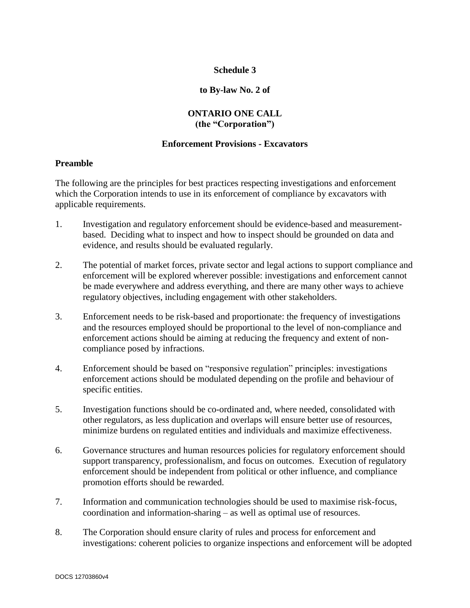# **Schedule 3**

## **to By-law No. 2 of**

# **ONTARIO ONE CALL (the "Corporation")**

## **Enforcement Provisions - Excavators**

#### **Preamble**

The following are the principles for best practices respecting investigations and enforcement which the Corporation intends to use in its enforcement of compliance by excavators with applicable requirements.

- 1. Investigation and regulatory enforcement should be evidence-based and measurementbased. Deciding what to inspect and how to inspect should be grounded on data and evidence, and results should be evaluated regularly.
- 2. The potential of market forces, private sector and legal actions to support compliance and enforcement will be explored wherever possible: investigations and enforcement cannot be made everywhere and address everything, and there are many other ways to achieve regulatory objectives, including engagement with other stakeholders.
- 3. Enforcement needs to be risk-based and proportionate: the frequency of investigations and the resources employed should be proportional to the level of non-compliance and enforcement actions should be aiming at reducing the frequency and extent of noncompliance posed by infractions.
- 4. Enforcement should be based on "responsive regulation" principles: investigations enforcement actions should be modulated depending on the profile and behaviour of specific entities.
- 5. Investigation functions should be co-ordinated and, where needed, consolidated with other regulators, as less duplication and overlaps will ensure better use of resources, minimize burdens on regulated entities and individuals and maximize effectiveness.
- 6. Governance structures and human resources policies for regulatory enforcement should support transparency, professionalism, and focus on outcomes. Execution of regulatory enforcement should be independent from political or other influence, and compliance promotion efforts should be rewarded.
- 7. Information and communication technologies should be used to maximise risk-focus, coordination and information-sharing – as well as optimal use of resources.
- 8. The Corporation should ensure clarity of rules and process for enforcement and investigations: coherent policies to organize inspections and enforcement will be adopted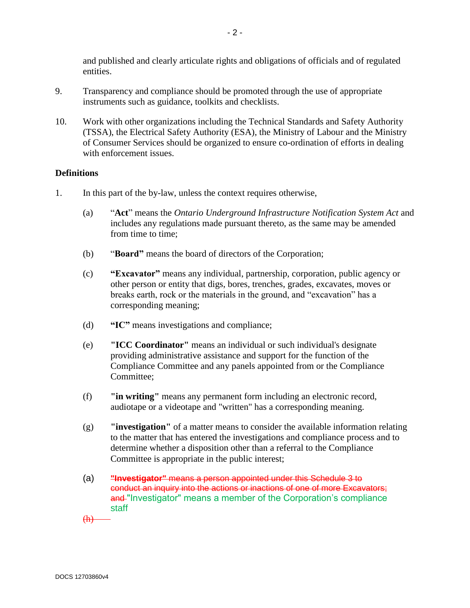and published and clearly articulate rights and obligations of officials and of regulated entities.

- 9. Transparency and compliance should be promoted through the use of appropriate instruments such as guidance, toolkits and checklists.
- 10. Work with other organizations including the Technical Standards and Safety Authority (TSSA), the Electrical Safety Authority (ESA), the Ministry of Labour and the Ministry of Consumer Services should be organized to ensure co-ordination of efforts in dealing with enforcement issues.

# **Definitions**

- 1. In this part of the by-law, unless the context requires otherwise,
	- (a) "**Act**" means the *Ontario Underground Infrastructure Notification System Act* and includes any regulations made pursuant thereto, as the same may be amended from time to time;
	- (b) "**Board"** means the board of directors of the Corporation;
	- (c) **"Excavator"** means any individual, partnership, corporation, public agency or other person or entity that digs, bores, trenches, grades, excavates, moves or breaks earth, rock or the materials in the ground, and "excavation" has a corresponding meaning;
	- (d) **"IC"** means investigations and compliance;
	- (e) **"ICC Coordinator"** means an individual or such individual's designate providing administrative assistance and support for the function of the Compliance Committee and any panels appointed from or the Compliance Committee;
	- (f) **"in writing"** means any permanent form including an electronic record, audiotape or a videotape and "written" has a corresponding meaning.
	- (g) **"investigation"** of a matter means to consider the available information relating to the matter that has entered the investigations and compliance process and to determine whether a disposition other than a referral to the Compliance Committee is appropriate in the public interest;
	- (a) **"Investigator"** means a person appointed under this Schedule 3 to conduct an inquiry into the actions or inactions of one of more Excavators; and "Investigator" means a member of the Corporation's compliance staff

(h)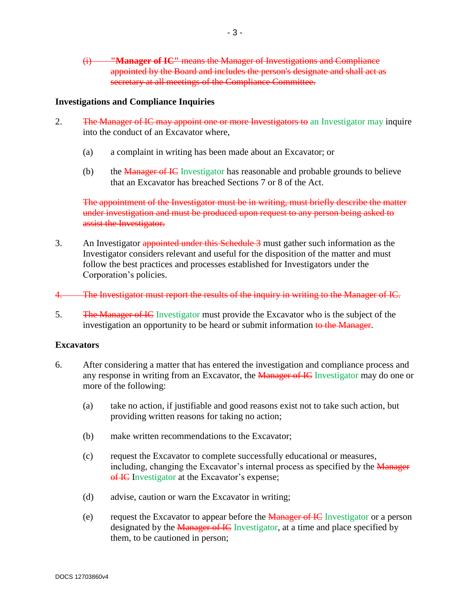(i) **"Manager of IC"** means the Manager of Investigations and Compliance appointed by the Board and includes the person's designate and shall act as secretary at all meetings of the Compliance Committee.

## **Investigations and Compliance Inquiries**

- 2. The Manager of IC may appoint one or more Investigators to an Investigator may inquire into the conduct of an Excavator where,
	- (a) a complaint in writing has been made about an Excavator; or
	- (b) the *Manager of IC* Investigator has reasonable and probable grounds to believe that an Excavator has breached Sections 7 or 8 of the Act.

The appointment of the Investigator must be in writing, must briefly describe the matter under investigation and must be produced upon request to any person being asked to assist the Investigator.

- 3. An Investigator appointed under this Schedule 3 must gather such information as the Investigator considers relevant and useful for the disposition of the matter and must follow the best practices and processes established for Investigators under the Corporation's policies.
- 4. The Investigator must report the results of the inquiry in writing to the Manager of IC.
- 5. The Manager of IC Investigator must provide the Excavator who is the subject of the investigation an opportunity to be heard or submit information to the Manager.

#### **Excavators**

- 6. After considering a matter that has entered the investigation and compliance process and any response in writing from an Excavator, the **Manager of IC** Investigator may do one or more of the following:
	- (a) take no action, if justifiable and good reasons exist not to take such action, but providing written reasons for taking no action;
	- (b) make written recommendations to the Excavator;
	- (c) request the Excavator to complete successfully educational or measures, including, changing the Excavator's internal process as specified by the Manager of IC Investigator at the Excavator's expense;
	- (d) advise, caution or warn the Excavator in writing;
	- (e) request the Excavator to appear before the Manager of IC Investigator or a person designated by the Manager of IC Investigator, at a time and place specified by them, to be cautioned in person;